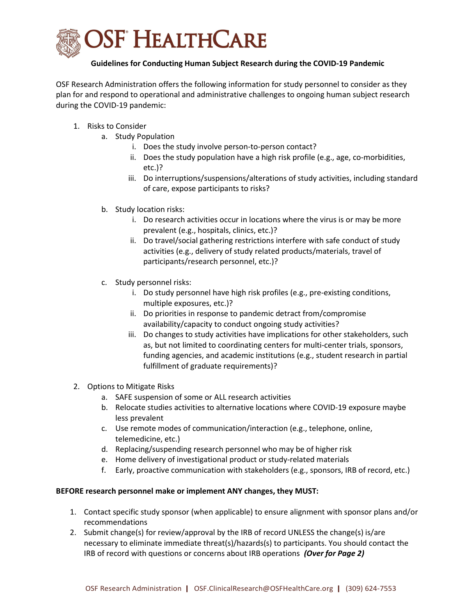

## Guidelines for Conducting Human Subject Research during the COVID-19 Pandemic

OSF Research Administration offers the following information for study personnel to consider as they plan for and respond to operational and administrative challenges to ongoing human subject research during the COVID-19 pandemic:

- 1. Risks to Consider
	- a. Study Population
		- i. Does the study involve person-to-person contact?
		- ii. Does the study population have a high risk profile (e.g., age, co-morbidities, etc.)?
		- iii. Do interruptions/suspensions/alterations of study activities, including standard of care, expose participants to risks?
	- b. Study location risks:
		- i. Do research activities occur in locations where the virus is or may be more prevalent (e.g., hospitals, clinics, etc.)?
		- ii. Do travel/social gathering restrictions interfere with safe conduct of study activities (e.g., delivery of study related products/materials, travel of participants/research personnel, etc.)?
	- c. Study personnel risks:
		- i. Do study personnel have high risk profiles (e.g., pre-existing conditions, multiple exposures, etc.)?
		- ii. Do priorities in response to pandemic detract from/compromise availability/capacity to conduct ongoing study activities?
		- iii. Do changes to study activities have implications for other stakeholders, such as, but not limited to coordinating centers for multi-center trials, sponsors, funding agencies, and academic institutions (e.g., student research in partial fulfillment of graduate requirements)?
- 2. Options to Mitigate Risks
	- a. SAFE suspension of some or ALL research activities
	- b. Relocate studies activities to alternative locations where COVID-19 exposure maybe less prevalent
	- c. Use remote modes of communication/interaction (e.g., telephone, online, telemedicine, etc.)
	- d. Replacing/suspending research personnel who may be of higher risk
	- e. Home delivery of investigational product or study-related materials
	- f. Early, proactive communication with stakeholders (e.g., sponsors, IRB of record, etc.)

## BEFORE research personnel make or implement ANY changes, they MUST:

- 1. Contact specific study sponsor (when applicable) to ensure alignment with sponsor plans and/or recommendations
- 2. Submit change(s) for review/approval by the IRB of record UNLESS the change(s) is/are necessary to eliminate immediate threat(s)/hazards(s) to participants. You should contact the IRB of record with questions or concerns about IRB operations (Over for Page 2)